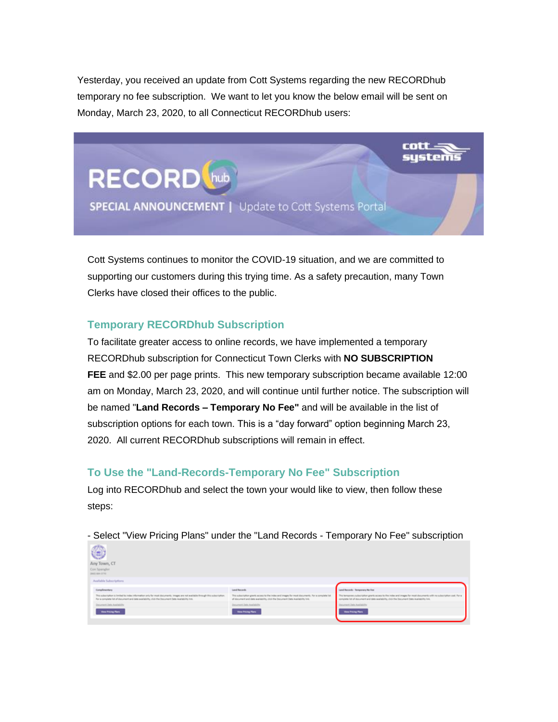Yesterday, you received an update from Cott Systems regarding the new RECORDhub temporary no fee subscription. We want to let you know the below email will be sent on Monday, March 23, 2020, to all Connecticut RECORDhub users:

ustems

Cott Systems continues to monitor the COVID-19 situation, and we are committed to supporting our customers during this trying time. As a safety precaution, many Town Clerks have closed their offices to the public.

**SPECIAL ANNOUNCEMENT |** Update to Cott Systems Portal

# **Temporary RECORDhub Subscription**

**RECORD** 

To facilitate greater access to online records, we have implemented a temporary RECORDhub subscription for Connecticut Town Clerks with **NO SUBSCRIPTION FEE** and \$2.00 per page prints. This new temporary subscription became available 12:00 am on Monday, March 23, 2020, and will continue until further notice. The subscription will be named "**Land Records – Temporary No Fee"** and will be available in the list of subscription options for each town. This is a "day forward" option beginning March 23, 2020. All current RECORDhub subscriptions will remain in effect.

## **To Use the "Land-Records-Temporary No Fee" Subscription**

Log into RECORDhub and select the town your would like to view, then follow these steps:

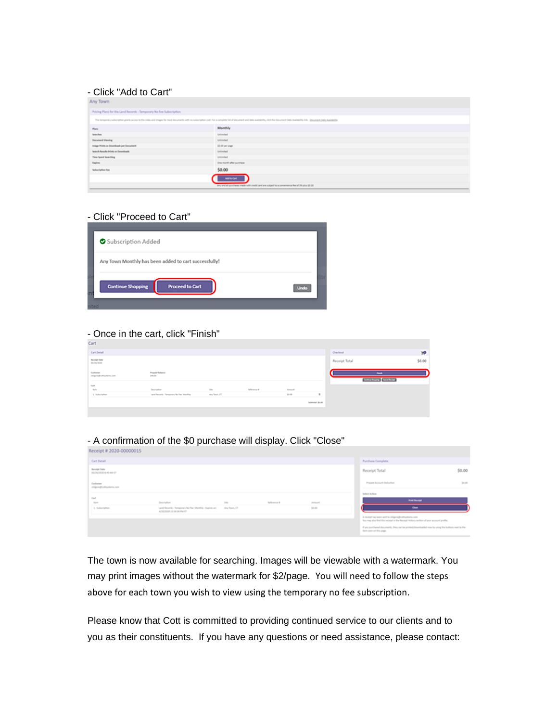#### - Click "Add to Cart"

| Any Town                                                                                                                                                                                                                       |                          |  |  |  |  |
|--------------------------------------------------------------------------------------------------------------------------------------------------------------------------------------------------------------------------------|--------------------------|--|--|--|--|
| Pricing Plans for the Land Records - Temporary No Fee Subscription                                                                                                                                                             |                          |  |  |  |  |
| This temporary subscription grants access to the index and images for most discuments with no subscription cost. For a complete list of discument and inke availability, club the Socument Date Availability (ink. Quoyment Da |                          |  |  |  |  |
| Pare:                                                                                                                                                                                                                          | Monthly                  |  |  |  |  |
| <b>Searches</b>                                                                                                                                                                                                                | Unlimited                |  |  |  |  |
| <b><i><u>December Cylendria</u></i></b>                                                                                                                                                                                        | University               |  |  |  |  |
| Image Prints or Doumkoath per Document                                                                                                                                                                                         | \$1.00 per page          |  |  |  |  |
| Jacoch Annally Prints or Doumlands                                                                                                                                                                                             | Unlimited                |  |  |  |  |
| <b>Time Sport Searching</b>                                                                                                                                                                                                    | Unimited                 |  |  |  |  |
| <b>Basico</b>                                                                                                                                                                                                                  | One month after purchase |  |  |  |  |
| <b>Subscription Fox</b>                                                                                                                                                                                                        | \$0.00                   |  |  |  |  |
|                                                                                                                                                                                                                                | Add to Carl              |  |  |  |  |
| Any and all purchases made with credit card are subject to a convenience fee of 3h plus \$0.30.                                                                                                                                |                          |  |  |  |  |

#### - Click "Proceed to Cart"

| Subscription Added       |                                                       |  |
|--------------------------|-------------------------------------------------------|--|
|                          | Any Town Monthly has been added to cart successfully! |  |
| <b>Continue Shopping</b> | <b>Proceed to Cart</b>                                |  |
|                          |                                                       |  |

### - Once in the cart, click "Finish"

| <b>CRLE</b>                                                        |                                                           |                        |         |                              |                                             |           |
|--------------------------------------------------------------------|-----------------------------------------------------------|------------------------|---------|------------------------------|---------------------------------------------|-----------|
| Cetibeat                                                           |                                                           |                        |         |                              | Owhout                                      | <b>YP</b> |
| <b>Brooke Date</b><br>Waliozaliwa                                  |                                                           |                        |         |                              | Receipt Total                               | \$0.00    |
| funturez<br>chigarajhudischere, con<br>Property Malaysia<br>pas as |                                                           |                        |         |                              | <b>Text</b><br><b>Detroitment</b> Detroites |           |
| $_{\rm dust}$                                                      |                                                           |                        |         |                              |                                             |           |
| <b>Barn</b><br>Department                                          | <b>STA</b>                                                | <b>Reference &amp;</b> | Ameurik |                              |                                             |           |
| A. Indeedy form                                                    | Land Records - Temperany No Past Monthly<br>day Texas, CT |                        | 31.46   | $\qquad \qquad \blacksquare$ |                                             |           |
|                                                                    |                                                           |                        |         | <b>Substant Street</b>       |                                             |           |

#### - A confirmation of the \$0 purchase will display. Click "Close"

| Receipt # 2020-00000015                |                         |         |                     |        |                                                                                                                                                  |                                                                                                |
|----------------------------------------|-------------------------|---------|---------------------|--------|--------------------------------------------------------------------------------------------------------------------------------------------------|------------------------------------------------------------------------------------------------|
| Carl Detail                            |                         |         |                     |        | <b>Purchase Complete</b>                                                                                                                         |                                                                                                |
| Nevelan Date<br>01/20200018-40-AM 07   |                         |         |                     |        | Receipt Total                                                                                                                                    | \$0.00                                                                                         |
| Castianian<br>chigara@cattauchtera.com |                         |         |                     |        | Present Account Desharters                                                                                                                       | 31.00                                                                                          |
| Carl                                   |                         |         |                     |        | <b>Select Artism</b>                                                                                                                             |                                                                                                |
| <b>Barn</b>                            | Description             | To line | <b>Reflerence #</b> | Amount |                                                                                                                                                  | <b><i><u><b>Proof Bernstein</b></u></i></b>                                                    |
| 1. Subscription                        | ALCOHOL: UL 59 SB PM CT |         |                     | 50.00  |                                                                                                                                                  | $_{\rm{dust}}$                                                                                 |
|                                        |                         |         |                     |        | A receipt has been used to chilgroup contractions com-<br>You may also find this receipt in the faccinal midson section of your account profile. |                                                                                                |
|                                        |                         |         |                     |        | Bank seart on this page.                                                                                                                         | If you purchased documents, they can be printed/downloaded now by yong the buttons rest to the |

The town is now available for searching. Images will be viewable with a watermark. You may print images without the watermark for \$2/page. You will need to follow the steps above for each town you wish to view using the temporary no fee subscription.

Please know that Cott is committed to providing continued service to our clients and to you as their constituents. If you have any questions or need assistance, please contact: